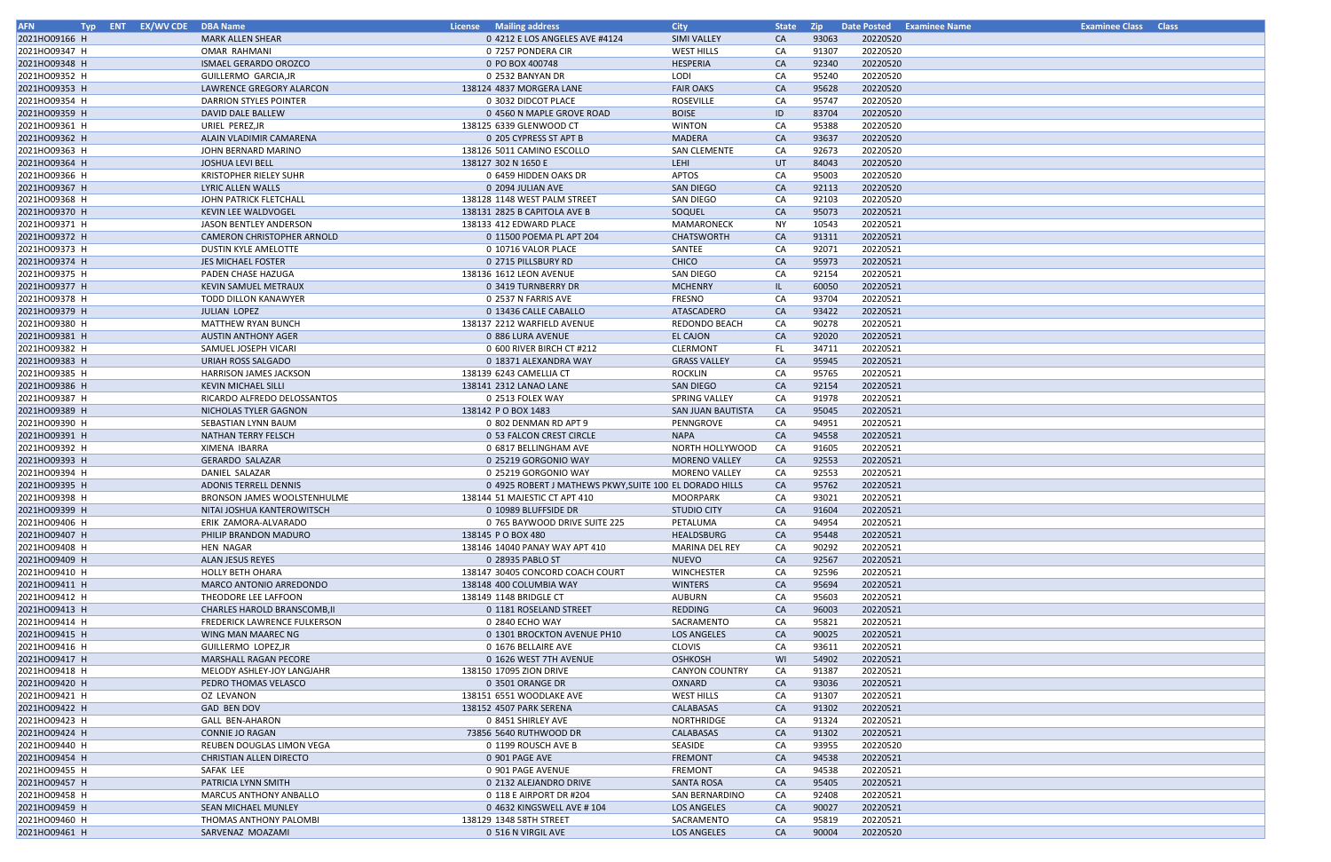| <b>AFN</b>    | Typ ENT EX/WV CDE DBA Name |                                     | <b>License</b> Mailing address                          | <b>City</b>           | <b>State</b> | - Zip |          | Date Posted Examinee Name | <b>Examinee Class Class</b> |  |
|---------------|----------------------------|-------------------------------------|---------------------------------------------------------|-----------------------|--------------|-------|----------|---------------------------|-----------------------------|--|
| 2021HO09166 H |                            | <b>MARK ALLEN SHEAR</b>             | 0 4212 E LOS ANGELES AVE #4124                          | SIMI VALLEY           | <b>CA</b>    | 93063 | 20220520 |                           |                             |  |
| 2021HO09347 H |                            | <b>OMAR RAHMANI</b>                 | 0 7257 PONDERA CIR                                      | <b>WEST HILLS</b>     | CA           | 91307 | 20220520 |                           |                             |  |
| 2021HO09348 H |                            | <b>ISMAEL GERARDO OROZCO</b>        | 0 PO BOX 400748                                         | HESPERIA              | <b>CA</b>    | 92340 | 20220520 |                           |                             |  |
| 2021HO09352 H |                            | GUILLERMO GARCIA, JR                | 0 2532 BANYAN DR                                        | LODI                  | CA           | 95240 | 20220520 |                           |                             |  |
| 2021HO09353 H |                            | LAWRENCE GREGORY ALARCON            | 138124 4837 MORGERA LANE                                | <b>FAIR OAKS</b>      | CA           | 95628 | 20220520 |                           |                             |  |
| 2021HO09354 H |                            | DARRION STYLES POINTER              | 0 3032 DIDCOT PLACE                                     | <b>ROSEVILLE</b>      | CA           | 95747 | 20220520 |                           |                             |  |
|               |                            |                                     |                                                         |                       |              | 83704 |          |                           |                             |  |
| 2021HO09359 H |                            | DAVID DALE BALLEW                   | 0 4560 N MAPLE GROVE ROAD                               | <b>BOISE</b>          | ID           |       | 20220520 |                           |                             |  |
| 2021HO09361 H |                            | URIEL PEREZ, JR                     | 138125 6339 GLENWOOD CT                                 | <b>WINTON</b>         | CA           | 95388 | 20220520 |                           |                             |  |
| 2021HO09362 H |                            | ALAIN VLADIMIR CAMARENA             | 0 205 CYPRESS ST APT B                                  | MADERA                | <b>CA</b>    | 93637 | 20220520 |                           |                             |  |
| 2021HO09363 H |                            | JOHN BERNARD MARINO                 | 138126 5011 CAMINO ESCOLLO                              | <b>SAN CLEMENTE</b>   | CA           | 92673 | 20220520 |                           |                             |  |
| 2021HO09364 H |                            | <b>JOSHUA LEVI BELL</b>             | 138127 302 N 1650 E                                     | LEHI                  | UT           | 84043 | 20220520 |                           |                             |  |
| 2021HO09366 H |                            | <b>KRISTOPHER RIELEY SUHR</b>       | 0 6459 HIDDEN OAKS DR                                   | <b>APTOS</b>          | CA           | 95003 | 20220520 |                           |                             |  |
| 2021HO09367 H |                            | LYRIC ALLEN WALLS                   | 0 2094 JULIAN AVE                                       | <b>SAN DIEGO</b>      | <b>CA</b>    | 92113 | 20220520 |                           |                             |  |
| 2021HO09368 H |                            | JOHN PATRICK FLETCHALL              | 138128 1148 WEST PALM STREET                            | SAN DIEGO             | CA           | 92103 | 20220520 |                           |                             |  |
| 2021HO09370 H |                            | KEVIN LEE WALDVOGEL                 | 138131 2825 B CAPITOLA AVE B                            | SOQUEL                | <b>CA</b>    | 95073 | 20220521 |                           |                             |  |
| 2021HO09371 H |                            | JASON BENTLEY ANDERSON              | 138133 412 EDWARD PLACE                                 | MAMARONECK            | <b>NY</b>    | 10543 | 20220521 |                           |                             |  |
| 2021HO09372 H |                            | CAMERON CHRISTOPHER ARNOLD          | 0 11500 POEMA PL APT 204                                | <b>CHATSWORTH</b>     | CA           | 91311 | 20220521 |                           |                             |  |
| 2021HO09373 H |                            | <b>DUSTIN KYLE AMELOTTE</b>         | 0 10716 VALOR PLACE                                     | SANTEE                | CA           | 92071 | 20220521 |                           |                             |  |
| 2021HO09374 H |                            | JES MICHAEL FOSTER                  | 0 2715 PILLSBURY RD                                     | CHICO                 | <b>CA</b>    | 95973 | 20220521 |                           |                             |  |
| 2021HO09375 H |                            | PADEN CHASE HAZUGA                  | 138136 1612 LEON AVENUE                                 | SAN DIEGO             | CA           | 92154 | 20220521 |                           |                             |  |
| 2021HO09377 H |                            | KEVIN SAMUEL METRAUX                | 0 3419 TURNBERRY DR                                     | <b>MCHENRY</b>        | IL.          | 60050 | 20220521 |                           |                             |  |
|               |                            |                                     |                                                         |                       |              |       |          |                           |                             |  |
| 2021HO09378 H |                            | <b>TODD DILLON KANAWYER</b>         | 0 2537 N FARRIS AVE                                     | FRESNO                | CA           | 93704 | 20220521 |                           |                             |  |
| 2021HO09379 H |                            | <b>JULIAN LOPEZ</b>                 | 0 13436 CALLE CABALLO                                   | ATASCADERO            | <b>CA</b>    | 93422 | 20220521 |                           |                             |  |
| 2021HO09380 H |                            | <b>MATTHEW RYAN BUNCH</b>           | 138137 2212 WARFIELD AVENUE                             | REDONDO BEACH         | CA           | 90278 | 20220521 |                           |                             |  |
| 2021HO09381 H |                            | <b>AUSTIN ANTHONY AGER</b>          | 0 886 LURA AVENUE                                       | <b>EL CAJON</b>       | CA           | 92020 | 20220521 |                           |                             |  |
| 2021HO09382 H |                            | SAMUEL JOSEPH VICARI                | 0 600 RIVER BIRCH CT #212                               | <b>CLERMONT</b>       | FL.          | 34711 | 20220521 |                           |                             |  |
| 2021HO09383 H |                            | URIAH ROSS SALGADO                  | 0 18371 ALEXANDRA WAY                                   | <b>GRASS VALLEY</b>   | <b>CA</b>    | 95945 | 20220521 |                           |                             |  |
| 2021HO09385 H |                            | <b>HARRISON JAMES JACKSON</b>       | 138139 6243 CAMELLIA CT                                 | <b>ROCKLIN</b>        | CA           | 95765 | 20220521 |                           |                             |  |
| 2021HO09386 H |                            | <b>KEVIN MICHAEL SILLI</b>          | 138141 2312 LANAO LANE                                  | SAN DIEGO             | <b>CA</b>    | 92154 | 20220521 |                           |                             |  |
| 2021HO09387 H |                            | RICARDO ALFREDO DELOSSANTOS         | 0 2513 FOLEX WAY                                        | <b>SPRING VALLEY</b>  | CA           | 91978 | 20220521 |                           |                             |  |
| 2021HO09389 H |                            | NICHOLAS TYLER GAGNON               | 138142 P O BOX 1483                                     | SAN JUAN BAUTISTA     | CA           | 95045 | 20220521 |                           |                             |  |
| 2021HO09390 H |                            | SEBASTIAN LYNN BAUM                 | 0 802 DENMAN RD APT 9                                   | PENNGROVE             | CA           | 94951 | 20220521 |                           |                             |  |
| 2021HO09391 H |                            | NATHAN TERRY FELSCH                 | 0 53 FALCON CREST CIRCLE                                | <b>NAPA</b>           | <b>CA</b>    | 94558 | 20220521 |                           |                             |  |
| 2021HO09392 H |                            | XIMENA IBARRA                       | 0 6817 BELLINGHAM AVE                                   | NORTH HOLLYWOOD       | CA           | 91605 | 20220521 |                           |                             |  |
| 2021HO09393 H |                            | <b>GERARDO SALAZAR</b>              | 0 25219 GORGONIO WAY                                    | <b>MORENO VALLEY</b>  | <b>CA</b>    | 92553 | 20220521 |                           |                             |  |
| 2021HO09394 H |                            | DANIEL SALAZAR                      | 0 25219 GORGONIO WAY                                    | <b>MORENO VALLEY</b>  | CA           | 92553 | 20220521 |                           |                             |  |
|               |                            |                                     |                                                         |                       |              |       |          |                           |                             |  |
| 2021HO09395 H |                            | <b>ADONIS TERRELL DENNIS</b>        | 0 4925 ROBERT J MATHEWS PKWY, SUITE 100 EL DORADO HILLS |                       | <b>CA</b>    | 95762 | 20220521 |                           |                             |  |
| 2021HO09398 H |                            | <b>BRONSON JAMES WOOLSTENHULME</b>  | 138144 51 MAJESTIC CT APT 410                           | <b>MOORPARK</b>       | CA           | 93021 | 20220521 |                           |                             |  |
| 2021HO09399 H |                            | NITAI JOSHUA KANTEROWITSCH          | 0 10989 BLUFFSIDE DR                                    | <b>STUDIO CITY</b>    | <b>CA</b>    | 91604 | 20220521 |                           |                             |  |
| 2021HO09406 H |                            | ERIK ZAMORA-ALVARADO                | 0 765 BAYWOOD DRIVE SUITE 225                           | PETALUMA              | СA           | 94954 | 20220521 |                           |                             |  |
| 2021HO09407 H |                            | PHILIP BRANDON MADURO               | 138145 P O BOX 480                                      | HEALDSBURG            | <b>CA</b>    | 95448 | 20220521 |                           |                             |  |
| 2021HO09408 H |                            | HEN NAGAR                           | 138146 14040 PANAY WAY APT 410                          | <b>MARINA DEL REY</b> | CA           | 90292 | 20220521 |                           |                             |  |
| 2021HO09409 H |                            | ALAN JESUS REYES                    | 0 28935 PABLO ST                                        | <b>NUEVO</b>          | <b>CA</b>    | 92567 | 20220521 |                           |                             |  |
| 2021HO09410 H |                            | <b>HOLLY BETH OHARA</b>             | 138147 30405 CONCORD COACH COURT                        | <b>WINCHESTER</b>     | CA           | 92596 | 20220521 |                           |                             |  |
| 2021HO09411 H |                            | MARCO ANTONIO ARREDONDO             | 138148 400 COLUMBIA WAY                                 | <b>WINTERS</b>        | CA           | 95694 | 20220521 |                           |                             |  |
| 2021HO09412 H |                            | THEODORE LEE LAFFOON                | 138149 1148 BRIDGLE CT                                  | AUBURN                | CA           | 95603 | 20220521 |                           |                             |  |
| 2021HO09413 H |                            | <b>CHARLES HAROLD BRANSCOMB.II</b>  | 0 1181 ROSELAND STREET                                  | REDDING               | <b>CA</b>    | 96003 | 20220521 |                           |                             |  |
| 2021HO09414 H |                            | <b>FREDERICK LAWRENCE FULKERSON</b> | 0 2840 ECHO WAY                                         | SACRAMENTO            | CA           | 95821 | 20220521 |                           |                             |  |
| 2021HO09415 H |                            | WING MAN MAAREC NG                  | 0 1301 BROCKTON AVENUE PH10                             | <b>LOS ANGELES</b>    | <b>CA</b>    | 90025 | 20220521 |                           |                             |  |
| 2021HO09416 H |                            | GUILLERMO LOPEZ, JR                 | 0 1676 BELLAIRE AVE                                     | <b>CLOVIS</b>         | CA           | 93611 | 20220521 |                           |                             |  |
| 2021HO09417 H |                            | <b>MARSHALL RAGAN PECORE</b>        | 0 1626 WEST 7TH AVENUE                                  | <b>OSHKOSH</b>        | WI           | 54902 | 20220521 |                           |                             |  |
| 2021HO09418 H |                            | MELODY ASHLEY-JOY LANGJAHR          | 138150 17095 ZION DRIVE                                 | <b>CANYON COUNTRY</b> | CA           | 91387 | 20220521 |                           |                             |  |
| 2021HO09420 H |                            | PEDRO THOMAS VELASCO                | 0 3501 ORANGE DR                                        | OXNARD                | <b>CA</b>    | 93036 | 20220521 |                           |                             |  |
|               |                            |                                     |                                                         |                       |              |       |          |                           |                             |  |
| 2021HO09421 H |                            | OZ LEVANON                          | 138151 6551 WOODLAKE AVE                                | <b>WEST HILLS</b>     | CA           | 91307 | 20220521 |                           |                             |  |
| 2021HO09422 H |                            | <b>GAD BEN DOV</b>                  | 138152 4507 PARK SERENA                                 | CALABASAS             | CA           | 91302 | 20220521 |                           |                             |  |
| 2021HO09423 H |                            | <b>GALL BEN-AHARON</b>              | 0 8451 SHIRLEY AVE                                      | NORTHRIDGE            | CA           | 91324 | 20220521 |                           |                             |  |
| 2021HO09424 H |                            | <b>CONNIE JO RAGAN</b>              | 73856 5640 RUTHWOOD DR                                  | CALABASAS             | CA           | 91302 | 20220521 |                           |                             |  |
| 2021HO09440 H |                            | REUBEN DOUGLAS LIMON VEGA           | 0 1199 ROUSCH AVE B                                     | SEASIDE               | CA           | 93955 | 20220520 |                           |                             |  |
| 2021HO09454 H |                            | CHRISTIAN ALLEN DIRECTO             | 0 901 PAGE AVE                                          | <b>FREMONT</b>        | <b>CA</b>    | 94538 | 20220521 |                           |                             |  |
| 2021HO09455 H |                            | SAFAK LEE                           | 0 901 PAGE AVENUE                                       | <b>FREMONT</b>        | CA           | 94538 | 20220521 |                           |                             |  |
| 2021HO09457 H |                            | PATRICIA LYNN SMITH                 | 0 2132 ALEJANDRO DRIVE                                  | <b>SANTA ROSA</b>     | <b>CA</b>    | 95405 | 20220521 |                           |                             |  |
| 2021HO09458 H |                            | <b>MARCUS ANTHONY ANBALLO</b>       | 0 118 E AIRPORT DR #204                                 | SAN BERNARDINO        | CA           | 92408 | 20220521 |                           |                             |  |
| 2021HO09459 H |                            | SEAN MICHAEL MUNLEY                 | 0 4632 KINGSWELL AVE # 104                              | <b>LOS ANGELES</b>    | <b>CA</b>    | 90027 | 20220521 |                           |                             |  |
| 2021HO09460 H |                            | THOMAS ANTHONY PALOMBI              | 138129 1348 58TH STREET                                 | SACRAMENTO            | CA           | 95819 | 20220521 |                           |                             |  |
| 2021HO09461 H |                            | SARVENAZ MOAZAMI                    | 0 516 N VIRGIL AVE                                      | <b>LOS ANGELES</b>    | <b>CA</b>    | 90004 | 20220520 |                           |                             |  |

| Examinee Class Class |  |
|----------------------|--|
|                      |  |
|                      |  |
|                      |  |
|                      |  |
|                      |  |
|                      |  |
|                      |  |
|                      |  |
|                      |  |
|                      |  |
|                      |  |
|                      |  |
|                      |  |
|                      |  |
|                      |  |
|                      |  |
|                      |  |
|                      |  |
|                      |  |
|                      |  |
|                      |  |
|                      |  |
|                      |  |
|                      |  |
|                      |  |
|                      |  |
|                      |  |
|                      |  |
|                      |  |
|                      |  |
|                      |  |
|                      |  |
|                      |  |
|                      |  |
|                      |  |
|                      |  |
|                      |  |
|                      |  |
|                      |  |
|                      |  |
|                      |  |
|                      |  |
|                      |  |
|                      |  |
|                      |  |
|                      |  |
|                      |  |
|                      |  |
|                      |  |
|                      |  |
|                      |  |
|                      |  |
|                      |  |
|                      |  |
|                      |  |
|                      |  |
|                      |  |
|                      |  |
|                      |  |
|                      |  |
|                      |  |
|                      |  |
|                      |  |
|                      |  |
|                      |  |
|                      |  |
|                      |  |
|                      |  |
|                      |  |
|                      |  |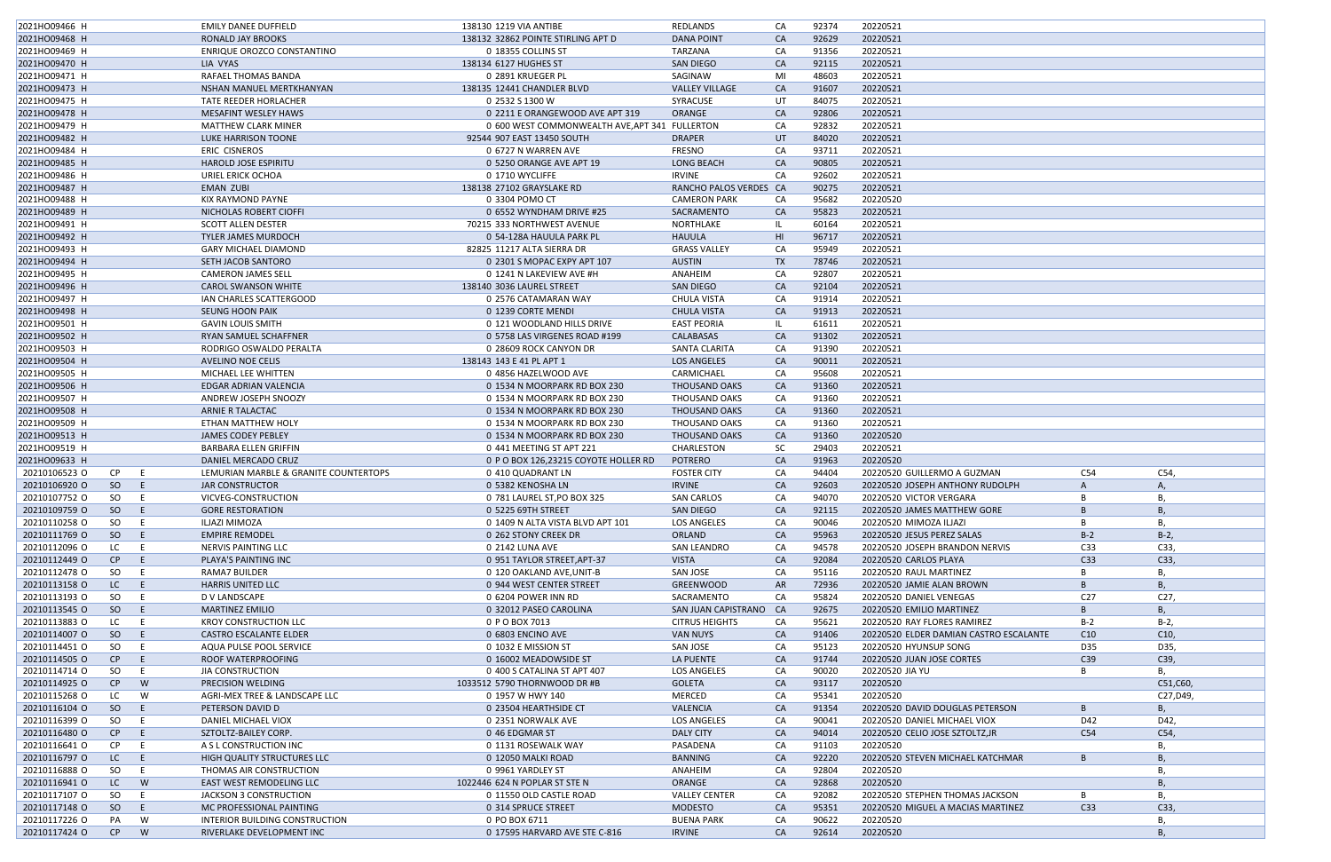| 2021HO09466 H |     |          | EMILY DANEE DUFFIELD                  | 138130 1219 VIA ANTIBE                         | REDLANDS               | CA        | 92374 | 20220521                               |                 |          |
|---------------|-----|----------|---------------------------------------|------------------------------------------------|------------------------|-----------|-------|----------------------------------------|-----------------|----------|
| 2021HO09468 H |     |          | RONALD JAY BROOKS                     | 138132 32862 POINTE STIRLING APT D             | <b>DANA POINT</b>      | CA        | 92629 | 20220521                               |                 |          |
| 2021HO09469 H |     |          | ENRIQUE OROZCO CONSTANTINO            | 0 18355 COLLINS ST                             | TARZANA                | CA        | 91356 | 20220521                               |                 |          |
| 2021HO09470 H |     |          | LIA VYAS                              | 138134 6127 HUGHES ST                          | <b>SAN DIEGO</b>       | <b>CA</b> | 92115 | 20220521                               |                 |          |
| 2021HO09471 H |     |          | RAFAEL THOMAS BANDA                   | 0 2891 KRUEGER PL                              | SAGINAW                | MI        | 48603 | 20220521                               |                 |          |
| 2021HO09473 H |     |          | NSHAN MANUEL MERTKHANYAN              | 138135 12441 CHANDLER BLVD                     | <b>VALLEY VILLAGE</b>  | CA        | 91607 | 20220521                               |                 |          |
| 2021HO09475 H |     |          | TATE REEDER HORLACHER                 | 0 2532 S 1300 W                                | SYRACUSE               | UT        | 84075 | 20220521                               |                 |          |
| 2021HO09478 H |     |          | <b>MESAFINT WESLEY HAWS</b>           | 0 2211 E ORANGEWOOD AVE APT 319                | ORANGE                 | <b>CA</b> | 92806 | 20220521                               |                 |          |
| 2021HO09479 H |     |          | <b>MATTHEW CLARK MINER</b>            | 0 600 WEST COMMONWEALTH AVE, APT 341 FULLERTON |                        | CA        | 92832 | 20220521                               |                 |          |
| 2021HO09482 H |     |          | LUKE HARRISON TOONE                   | 92544 907 EAST 13450 SOUTH                     | <b>DRAPER</b>          | UT        | 84020 | 20220521                               |                 |          |
| 2021HO09484 H |     |          | ERIC CISNEROS                         | 0 6727 N WARREN AVE                            | <b>FRESNO</b>          | CA        | 93711 | 20220521                               |                 |          |
| 2021HO09485 H |     |          | <b>HAROLD JOSE ESPIRITU</b>           | 0 5250 ORANGE AVE APT 19                       | <b>LONG BEACH</b>      | CA        | 90805 | 20220521                               |                 |          |
| 2021HO09486 H |     |          | URIEL ERICK OCHOA                     | 0 1710 WYCLIFFE                                | <b>IRVINE</b>          | CA        | 92602 | 20220521                               |                 |          |
|               |     |          |                                       | 138138 27102 GRAYSLAKE RD                      |                        |           |       |                                        |                 |          |
| 2021HO09487 H |     |          | <b>EMAN ZUBI</b>                      |                                                | RANCHO PALOS VERDES CA |           | 90275 | 20220521                               |                 |          |
| 2021HO09488 H |     |          | KIX RAYMOND PAYNE                     | 0 3304 POMO CT                                 | <b>CAMERON PARK</b>    | CA        | 95682 | 20220520                               |                 |          |
| 2021HO09489 H |     |          | NICHOLAS ROBERT CIOFFI                | 0 6552 WYNDHAM DRIVE #25                       | SACRAMENTO             | <b>CA</b> | 95823 | 20220521                               |                 |          |
| 2021HO09491 H |     |          | <b>SCOTT ALLEN DESTER</b>             | 70215 333 NORTHWEST AVENUE                     | NORTHLAKE              | -IL       | 60164 | 20220521                               |                 |          |
| 2021HO09492 H |     |          | <b>TYLER JAMES MURDOCH</b>            | 0 54-128A HAUULA PARK PL                       | <b>HAUULA</b>          | HI        | 96717 | 20220521                               |                 |          |
| 2021HO09493 H |     |          | <b>GARY MICHAEL DIAMOND</b>           | 82825 11217 ALTA SIERRA DR                     | <b>GRASS VALLEY</b>    | CA        | 95949 | 20220521                               |                 |          |
| 2021HO09494 H |     |          | SETH JACOB SANTORO                    | 0 2301 S MOPAC EXPY APT 107                    | <b>AUSTIN</b>          | TX        | 78746 | 20220521                               |                 |          |
| 2021HO09495 H |     |          | <b>CAMERON JAMES SELL</b>             | 0 1241 N LAKEVIEW AVE #H                       | ANAHEIM                | CA        | 92807 | 20220521                               |                 |          |
| 2021HO09496 H |     |          | <b>CAROL SWANSON WHITE</b>            | 138140 3036 LAUREL STREET                      | <b>SAN DIEGO</b>       | CA        | 92104 | 20220521                               |                 |          |
| 2021HO09497 H |     |          | IAN CHARLES SCATTERGOOD               | 0 2576 CATAMARAN WAY                           | <b>CHULA VISTA</b>     | CA        | 91914 | 20220521                               |                 |          |
| 2021HO09498 H |     |          | SEUNG HOON PAIK                       | 0 1239 CORTE MENDI                             | <b>CHULA VISTA</b>     | CA        | 91913 | 20220521                               |                 |          |
| 2021HO09501 H |     |          | <b>GAVIN LOUIS SMITH</b>              | 0 121 WOODLAND HILLS DRIVE                     | <b>EAST PEORIA</b>     | - IL      | 61611 | 20220521                               |                 |          |
| 2021HO09502 H |     |          | RYAN SAMUEL SCHAFFNER                 | 0 5758 LAS VIRGENES ROAD #199                  | CALABASAS              | <b>CA</b> | 91302 | 20220521                               |                 |          |
| 2021HO09503 H |     |          | RODRIGO OSWALDO PERALTA               | 0 28609 ROCK CANYON DR                         | SANTA CLARITA          | CA        | 91390 | 20220521                               |                 |          |
| 2021HO09504 H |     |          | AVELINO NOE CELIS                     | 138143 143 E 41 PL APT 1                       | LOS ANGELES            | <b>CA</b> | 90011 | 20220521                               |                 |          |
| 2021HO09505 H |     |          | MICHAEL LEE WHITTEN                   | 0 4856 HAZELWOOD AVE                           | CARMICHAEL             | CA        | 95608 | 20220521                               |                 |          |
| 2021HO09506 H |     |          | EDGAR ADRIAN VALENCIA                 | 0 1534 N MOORPARK RD BOX 230                   | THOUSAND OAKS          | CA        | 91360 | 20220521                               |                 |          |
| 2021HO09507 H |     |          | ANDREW JOSEPH SNOOZY                  | 0 1534 N MOORPARK RD BOX 230                   | THOUSAND OAKS          | CA        | 91360 | 20220521                               |                 |          |
| 2021HO09508 H |     |          | ARNIE R TALACTAC                      | 0 1534 N MOORPARK RD BOX 230                   | THOUSAND OAKS          | CA        | 91360 | 20220521                               |                 |          |
| 2021HO09509 H |     |          | ETHAN MATTHEW HOLY                    | 0 1534 N MOORPARK RD BOX 230                   | THOUSAND OAKS          | CA        | 91360 | 20220521                               |                 |          |
| 2021HO09513 H |     |          | JAMES CODEY PEBLEY                    | 0 1534 N MOORPARK RD BOX 230                   | <b>THOUSAND OAKS</b>   | CA        | 91360 | 20220520                               |                 |          |
| 2021HO09519 H |     |          | <b>BARBARA ELLEN GRIFFIN</b>          | 0 441 MEETING ST APT 221                       | CHARLESTON             | <b>SC</b> | 29403 | 20220521                               |                 |          |
| 2021HO09633 H |     |          | DANIEL MERCADO CRUZ                   | 0 P O BOX 126,23215 COYOTE HOLLER RD           | <b>POTRERO</b>         | CA        | 91963 | 20220520                               |                 |          |
| 20210106523 O | CP. | -E       | LEMURIAN MARBLE & GRANITE COUNTERTOPS | 0 410 QUADRANT LN                              | <b>FOSTER CITY</b>     | CA        | 94404 | 20220520 GUILLERMO A GUZMAN            | C54             | C54,     |
| 20210106920 O | SO  | -E.      | <b>JAR CONSTRUCTOR</b>                | 0 5382 KENOSHA LN                              | <b>IRVINE</b>          | <b>CA</b> | 92603 | 20220520 JOSEPH ANTHONY RUDOLPH        | A               | Α,       |
| 20210107752 O | SO  | E        | VICVEG-CONSTRUCTION                   | 0 781 LAUREL ST, PO BOX 325                    | <b>SAN CARLOS</b>      | CA        | 94070 | 20220520 VICTOR VERGARA                | B               | В,       |
| 20210109759 O | SO. | E.       | <b>GORE RESTORATION</b>               | 0 5225 69TH STREET                             | SAN DIEGO              | CA        | 92115 | 20220520 JAMES MATTHEW GORE            | B               | В,       |
| 20210110258 O | SO  | E        | ILJAZI MIMOZA                         | 0 1409 N ALTA VISTA BLVD APT 101               | <b>LOS ANGELES</b>     | CA        | 90046 | 20220520 MIMOZA ILJAZI                 | B               | В,       |
| 20210111769 O | SO  | E.       | <b>EMPIRE REMODEL</b>                 | 0 262 STONY CREEK DR                           | <b>ORLAND</b>          | CA        | 95963 | 20220520 JESUS PEREZ SALAS             | $B-2$           | $B-2$    |
| 20210112096 O | LC  | E        | NERVIS PAINTING LLC                   | 0 2142 LUNA AVE                                | SAN LEANDRO            | CA        | 94578 | 20220520 JOSEPH BRANDON NERVIS         | C33             | C33,     |
| 20210112449 O | CP  | E.       | PLAYA'S PAINTING INC                  | 0 951 TAYLOR STREET, APT-37                    | <b>VISTA</b>           | <b>CA</b> | 92084 | 20220520 CARLOS PLAYA                  | C33             | C33,     |
| 20210112478 O | SO  | E        | RAMA7 BUILDER                         | 0 120 OAKLAND AVE, UNIT-B                      | SAN JOSE               | CA        | 95116 | 20220520 RAUL MARTINEZ                 |                 | B        |
| 20210113158 O | LC  | - E      | <b>HARRIS UNITED LLC</b>              | 0 944 WEST CENTER STREET                       | GREENWOOD              | AR        | 72936 | 20220520 JAMIE ALAN BROWN              | B               | B        |
| 20210113193 O | SO  | - E      | D V LANDSCAPE                         | 0 6204 POWER INN RD                            | SACRAMENTO             | CA        | 95824 | 20220520 DANIEL VENEGAS                | C <sub>27</sub> | C27,     |
|               |     |          |                                       |                                                |                        |           |       |                                        |                 |          |
| 20210113545 O | SO  | - E      | <b>MARTINEZ EMILIO</b>                | 0 32012 PASEO CAROLINA                         | SAN JUAN CAPISTRANO CA |           | 92675 | 20220520 EMILIO MARTINEZ               | B               | В,       |
| 20210113883 O | LC  | - E      | <b>KROY CONSTRUCTION LLC</b>          | 0 P O BOX 7013                                 | <b>CITRUS HEIGHTS</b>  | CA        | 95621 | 20220520 RAY FLORES RAMIREZ            | $B-2$           | $B-2$    |
| 20210114007 O | SO. | - E      | CASTRO ESCALANTE ELDER                | 0 6803 ENCINO AVE                              | <b>VAN NUYS</b>        | <b>CA</b> | 91406 | 20220520 ELDER DAMIAN CASTRO ESCALANTE | C10             | C10,     |
| 20210114451 O | SO  | E        | AQUA PULSE POOL SERVICE               | 0 1032 E MISSION ST                            | SAN JOSE               | CA        | 95123 | 20220520 HYUNSUP SONG                  | D35             | D35,     |
| 20210114505 O | CP  | E.       | ROOF WATERPROOFING                    | 0 16002 MEADOWSIDE ST                          | LA PUENTE              | CA        | 91744 | 20220520 JUAN JOSE CORTES              | C39             | C39,     |
| 20210114714 O | SO  | E.       | JIA CONSTRUCTION                      | 0 400 S CATALINA ST APT 407                    | <b>LOS ANGELES</b>     | CA        | 90020 | 20220520 JIA YU                        | B               | В,       |
| 20210114925 O | CP  | W        | PRECISION WELDING                     | 1033512 5790 THORNWOOD DR #B                   | GOLETA                 | CA        | 93117 | 20220520                               |                 | C51,C60, |
| 20210115268 O | LC  | W        | AGRI-MEX TREE & LANDSCAPE LLC         | 0 1957 W HWY 140                               | <b>MERCED</b>          | CA        | 95341 | 20220520                               |                 | C27,D49, |
| 20210116104 O | SO  | E        | PETERSON DAVID D                      | 0 23504 HEARTHSIDE CT                          | VALENCIA               | CA        | 91354 | 20220520 DAVID DOUGLAS PETERSON        | B               | B        |
| 20210116399 O | SO  | E        | DANIEL MICHAEL VIOX                   | 0 2351 NORWALK AVE                             | <b>LOS ANGELES</b>     | CA        | 90041 | 20220520 DANIEL MICHAEL VIOX           | D42             | D42,     |
| 20210116480 O | CP  | -E.      | SZTOLTZ-BAILEY CORP.                  | 0 46 EDGMAR ST                                 | <b>DALY CITY</b>       | CA        | 94014 | 20220520 CELIO JOSE SZTOLTZ, JR        | C54             | C54,     |
| 20210116641 O | CP  | - E      | A S L CONSTRUCTION INC                | 0 1131 ROSEWALK WAY                            | PASADENA               | CA        | 91103 | 20220520                               |                 | В,       |
| 20210116797 O | LC  | - El     | HIGH QUALITY STRUCTURES LLC           | 0 12050 MALKI ROAD                             | <b>BANNING</b>         | CA        | 92220 | 20220520 STEVEN MICHAEL KATCHMAR       | B               |          |
| 20210116888 O | SO  | E        | THOMAS AIR CONSTRUCTION               | 0 9961 YARDLEY ST                              | ANAHEIM                | CA        | 92804 | 20220520                               |                 | B        |
|               |     |          | EAST WEST REMODELING LLC              | 1022446 624 N POPLAR ST STE N                  | ORANGE                 | CA        | 92868 | 20220520                               |                 | B        |
| 20210116941 O | LC  | <b>W</b> |                                       |                                                |                        |           |       |                                        |                 |          |
| 20210117107 O | SO  | E.       | JACKSON 3 CONSTRUCTION                | 0 11550 OLD CASTLE ROAD                        | <b>VALLEY CENTER</b>   | CA        | 92082 | 20220520 STEPHEN THOMAS JACKSON        | B               | B        |
| 20210117148 O | SO  | E        | MC PROFESSIONAL PAINTING              | 0 314 SPRUCE STREET                            | MODESTO                | <b>CA</b> | 95351 | 20220520 MIGUEL A MACIAS MARTINEZ      | C33             | C33,     |
| 20210117226 O | PA  | W        | INTERIOR BUILDING CONSTRUCTION        | 0 PO BOX 6711                                  | <b>BUENA PARK</b>      | CA        | 90622 | 20220520                               |                 | B        |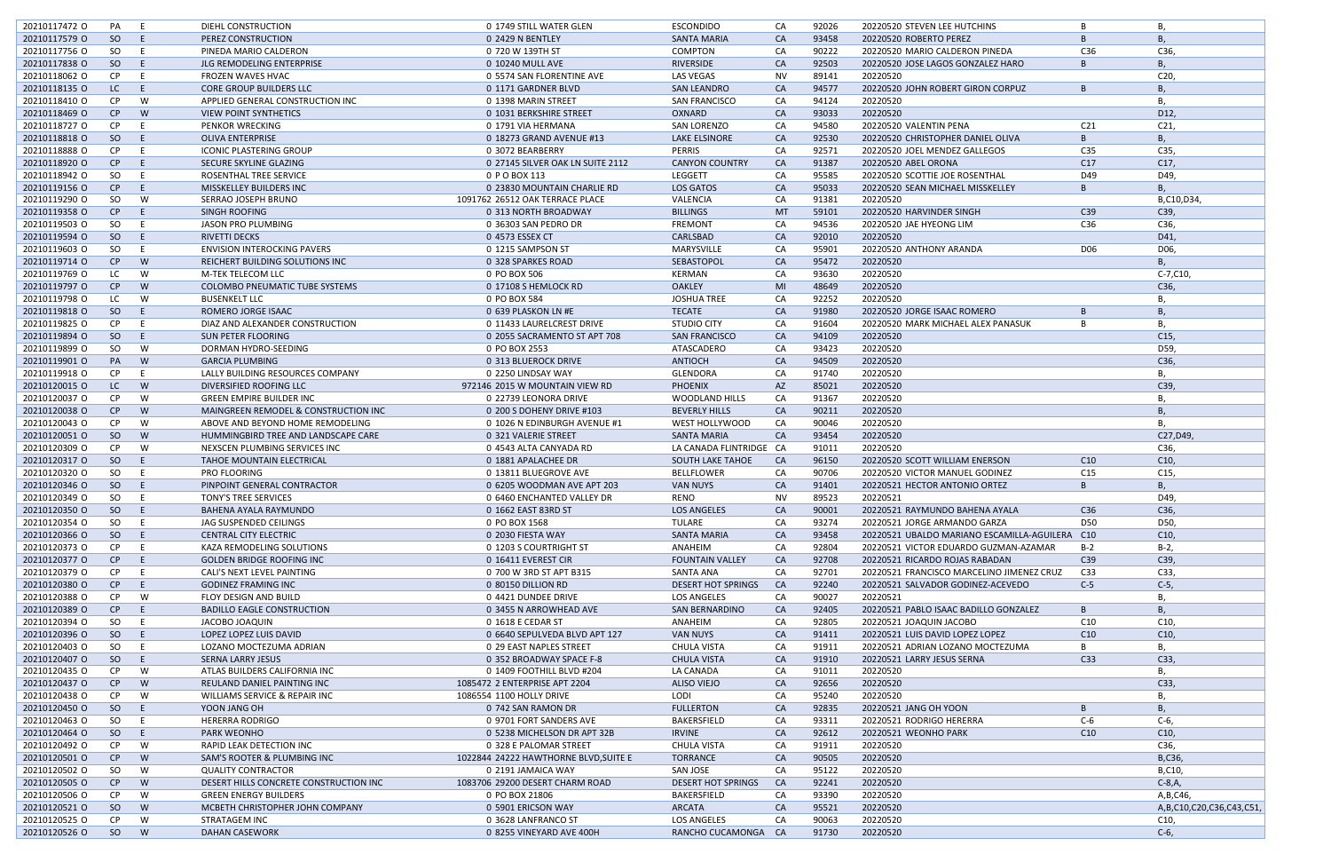| 20210117472 0 | PA        | - E      | DIEHL CONSTRUCTION                     | 0 1749 STILL WATER GLEN               | <b>ESCONDIDO</b>          | CA        | 92026 | 20220520 STEVEN LEE HUTCHINS               |                 | В,                            |
|---------------|-----------|----------|----------------------------------------|---------------------------------------|---------------------------|-----------|-------|--------------------------------------------|-----------------|-------------------------------|
| 20210117579 O | SO        | - E      | PEREZ CONSTRUCTION                     | 0 2429 N BENTLEY                      | <b>SANTA MARIA</b>        | CA        | 93458 | 20220520 ROBERTO PEREZ                     |                 | <b>B</b> ,                    |
| 20210117756 O | SO        | E        | PINEDA MARIO CALDERON                  | 0 720 W 139TH ST                      | <b>COMPTON</b>            | CA        | 90222 | 20220520 MARIO CALDERON PINEDA             | C36             | C36,                          |
| 20210117838 O | SO        | -E.      | JLG REMODELING ENTERPRISE              | 0 10240 MULL AVE                      | RIVERSIDE                 | CA        | 92503 | 20220520 JOSE LAGOS GONZALEZ HARO          | B.              | <b>B</b> ,                    |
| 20210118062 O | CP        | E        | <b>FROZEN WAVES HVAC</b>               | 0 5574 SAN FLORENTINE AVE             | <b>LAS VEGAS</b>          | <b>NV</b> | 89141 | 20220520                                   |                 | C20                           |
| 20210118135 O | LC        | - E      | <b>CORE GROUP BUILDERS LLC</b>         | 0 1171 GARDNER BLVD                   | <b>SAN LEANDRO</b>        | CA        | 94577 | 20220520 JOHN ROBERT GIRON CORPUZ          |                 | B                             |
|               |           |          |                                        |                                       |                           |           |       |                                            |                 |                               |
| 20210118410 0 | CP        | W        | APPLIED GENERAL CONSTRUCTION INC       | 0 1398 MARIN STREET                   | <b>SAN FRANCISCO</b>      | CA        | 94124 | 20220520                                   |                 | В.                            |
| 20210118469 O | CP        | <b>W</b> | VIEW POINT SYNTHETICS                  | 0 1031 BERKSHIRE STREET               | OXNARD                    | CA        | 93033 | 20220520                                   |                 | D12,                          |
| 20210118727 O | CP.       | E        | PENKOR WRECKING                        | 0 1791 VIA HERMANA                    | <b>SAN LORENZO</b>        | CA        | 94580 | 20220520 VALENTIN PENA                     | C <sub>21</sub> | C <sub>21</sub>               |
| 20210118818 O | SO.       | -E.      | <b>OLIVA ENTERPRISE</b>                | 0 18273 GRAND AVENUE #13              | LAKE ELSINORE             | <b>CA</b> | 92530 | 20220520 CHRISTOPHER DANIEL OLIVA          | B.              | <b>B</b> ,                    |
| 20210118888 O | CP.       | - E      | <b>ICONIC PLASTERING GROUP</b>         | 0 3072 BEARBERRY                      | <b>PERRIS</b>             | CA        | 92571 | 20220520 JOEL MENDEZ GALLEGOS              | C <sub>35</sub> | C35,                          |
| 20210118920 O | CP        | E        | SECURE SKYLINE GLAZING                 | 0 27145 SILVER OAK LN SUITE 2112      | <b>CANYON COUNTRY</b>     | CA        | 91387 | 20220520 ABEL ORONA                        | C17             | C17,                          |
| 20210118942 O | SO        | E        | ROSENTHAL TREE SERVICE                 | 0 P O BOX 113                         | LEGGETT                   | CA        | 95585 | 20220520 SCOTTIE JOE ROSENTHAL             | D49             | D49,                          |
|               |           |          |                                        |                                       |                           |           |       |                                            |                 |                               |
| 20210119156 O | CP        | -E.      | MISSKELLEY BUILDERS INC                | 0 23830 MOUNTAIN CHARLIE RD           | <b>LOS GATOS</b>          | CA        | 95033 | 20220520 SEAN MICHAEL MISSKELLEY           | В               | <b>B.</b>                     |
| 20210119290 O | SO        | - W      | SERRAO JOSEPH BRUNO                    | 1091762 26512 OAK TERRACE PLACE       | VALENCIA                  | CA        | 91381 | 20220520                                   |                 | B,C10,D34,                    |
| 20210119358 O | CP        | - E      | SINGH ROOFING                          | 0 313 NORTH BROADWAY                  | <b>BILLINGS</b>           | MT        | 59101 | 20220520 HARVINDER SINGH                   | C39             | C39,                          |
| 20210119503 O | SO        | E        | <b>JASON PRO PLUMBING</b>              | 0 36303 SAN PEDRO DR                  | <b>FREMONT</b>            | CA        | 94536 | 20220520 JAE HYEONG LIM                    | C36             | C36,                          |
| 20210119594 O | SO        | E.       | RIVETTI DECKS                          | 0 4573 ESSEX CT                       | CARLSBAD                  | CA        | 92010 | 20220520                                   |                 | D41,                          |
| 20210119603 O | SO        | E        | <b>ENVISION INTEROCKING PAVERS</b>     | 0 1215 SAMPSON ST                     | MARYSVILLE                | CA        | 95901 | 20220520 ANTHONY ARANDA                    | D06             | D06,                          |
| 20210119714 0 | CP        | <b>W</b> | REICHERT BUILDING SOLUTIONS INC        | 0 328 SPARKES ROAD                    | SEBASTOPOL                | CA        | 95472 | 20220520                                   |                 | <b>B.</b>                     |
| 20210119769 O | LC        | W        | M-TEK TELECOM LLC                      | 0 PO BOX 506                          | KERMAN                    | CA        | 93630 | 20220520                                   |                 | $C-7, C10,$                   |
|               |           |          |                                        |                                       |                           |           |       |                                            |                 |                               |
| 20210119797 O | CP        | W        | <b>COLOMBO PNEUMATIC TUBE SYSTEMS</b>  | 0 17108 S HEMLOCK RD                  | <b>OAKLEY</b>             | MI        | 48649 | 20220520                                   |                 | C36,                          |
| 20210119798 O | LC        | W        | <b>BUSENKELT LLC</b>                   | 0 PO BOX 584                          | <b>JOSHUA TREE</b>        | CA        | 92252 | 20220520                                   |                 | В,                            |
| 20210119818 O | SO        | -E.      | ROMERO JORGE ISAAC                     | 0 639 PLASKON LN #E                   | <b>TECATE</b>             | CA        | 91980 | 20220520 JORGE ISAAC ROMERO                |                 | B                             |
| 20210119825 O | CP        | E        | DIAZ AND ALEXANDER CONSTRUCTION        | 0 11433 LAURELCREST DRIVE             | <b>STUDIO CITY</b>        | CA        | 91604 | 20220520 MARK MICHAEL ALEX PANASUK         |                 | Β,                            |
| 20210119894 O | SO        | - E      | <b>SUN PETER FLOORING</b>              | 0 2055 SACRAMENTO ST APT 708          | <b>SAN FRANCISCO</b>      | CA        | 94109 | 20220520                                   |                 | C <sub>15</sub>               |
| 20210119899 O | SO        | W        | DORMAN HYDRO-SEEDING                   | 0 PO BOX 2553                         | ATASCADERO                | CA        | 93423 | 20220520                                   |                 | D59,                          |
| 20210119901 O | PA        | <b>W</b> | <b>GARCIA PLUMBING</b>                 | 0 313 BLUEROCK DRIVE                  | ANTIOCH                   | CA        | 94509 | 20220520                                   |                 | C36,                          |
|               |           |          |                                        |                                       |                           |           |       |                                            |                 |                               |
| 20210119918 O | CP        | E        | LALLY BUILDING RESOURCES COMPANY       | 0 2250 LINDSAY WAY                    | GLENDORA                  | CA        | 91740 | 20220520                                   |                 | Β,                            |
| 20210120015 O | LC .      | <b>W</b> | DIVERSIFIED ROOFING LLC                | 972146 2015 W MOUNTAIN VIEW RD        | <b>PHOENIX</b>            | AZ        | 85021 | 20220520                                   |                 | C39,                          |
| 20210120037 O | <b>CP</b> | <b>W</b> | <b>GREEN EMPIRE BUILDER INC</b>        | 0 22739 LEONORA DRIVE                 | <b>WOODLAND HILLS</b>     | CA        | 91367 | 20220520                                   |                 | В,                            |
| 20210120038 O | CP        | W        | MAINGREEN REMODEL & CONSTRUCTION INC   | 0 200 S DOHENY DRIVE #103             | <b>BEVERLY HILLS</b>      | CA        | 90211 | 20220520                                   |                 | <b>B.</b>                     |
| 20210120043 O | CP        | W        | ABOVE AND BEYOND HOME REMODELING       | 0 1026 N EDINBURGH AVENUE #1          | WEST HOLLYWOOD            | CA        | 90046 | 20220520                                   |                 | <b>B.</b>                     |
| 20210120051 O | SO        | <b>W</b> | HUMMINGBIRD TREE AND LANDSCAPE CARE    | 0 321 VALERIE STREET                  | SANTA MARIA               | CA        | 93454 | 20220520                                   |                 | C27, D49,                     |
| 20210120309 O | CP        | W        | NEXSCEN PLUMBING SERVICES INC          | 0 4543 ALTA CANYADA RD                | LA CANADA FLINTRIDGE CA   |           | 91011 | 20220520                                   |                 | C36,                          |
|               |           |          |                                        |                                       |                           |           |       |                                            |                 |                               |
| 20210120317 O | SO        | - E      | <b>TAHOE MOUNTAIN ELECTRICAL</b>       | 0 1881 APALACHEE DR                   | <b>SOUTH LAKE TAHOE</b>   | <b>CA</b> | 96150 | 20220520 SCOTT WILLIAM ENERSON             | C10             | C10,                          |
| 20210120320 O | SO        | E        | <b>PRO FLOORING</b>                    | 0 13811 BLUEGROVE AVE                 | <b>BELLFLOWER</b>         | CA        | 90706 | 20220520 VICTOR MANUEL GODINEZ             | C15             | C15,                          |
| 20210120346 O | SO        | E.       | PINPOINT GENERAL CONTRACTOR            | 0 6205 WOODMAN AVE APT 203            | <b>VAN NUYS</b>           | CA        | 91401 | 20220521 HECTOR ANTONIO ORTEZ              |                 | В,                            |
| 20210120349 O | SO        | E        | <b>TONY'S TREE SERVICES</b>            | 0 6460 ENCHANTED VALLEY DR            | RENO                      | <b>NV</b> | 89523 | 20220521                                   |                 | D49,                          |
| 20210120350 O | SO        | $-E$     | BAHENA AYALA RAYMUNDO                  | 0 1662 EAST 83RD ST                   | <b>LOS ANGELES</b>        | CA        | 90001 | 20220521 RAYMUNDO BAHENA AYALA             | C36             | C36,                          |
| 20210120354 O | SO        | - E      | JAG SUSPENDED CEILINGS                 | 0 PO BOX 1568                         | TULARE                    | CA        | 93274 | 20220521 JORGE ARMANDO GARZA               | D50             | D50,                          |
| 20210120366 O | SO        | E        | <b>CENTRAL CITY ELECTRIC</b>           | 0 2030 FIESTA WAY                     | <b>SANTA MARIA</b>        | CA        | 93458 | 20220521 UBALDO MARIANO ESCAMILLA-AGUILERA | C10             | C10,                          |
| 20210120373 O | CP        | E        | KAZA REMODELING SOLUTIONS              | 0 1203 S COURTRIGHT ST                | ANAHEIM                   | CA        | 92804 | 20220521 VICTOR EDUARDO GUZMAN-AZAMAR      | $B-2$           | $B-2$ ,                       |
| 20210120377 O | CP        | $-E$     |                                        | 0 16411 EVEREST CIR                   | <b>FOUNTAIN VALLEY</b>    | CA        | 92708 | 20220521 RICARDO ROJAS RABADAN             | C39             | C39,                          |
|               |           |          | <b>GOLDEN BRIDGE ROOFING INC</b>       |                                       |                           |           |       |                                            |                 |                               |
| 20210120379 O | CP        | - E      | CALI'S NEXT LEVEL PAINTING             | 0 700 W 3RD ST APT B315               | SANTA ANA                 | CA        | 92701 | 20220521 FRANCISCO MARCELINO JIMENEZ CRUZ  | C <sub>33</sub> | C33,                          |
| 20210120380 O | CP        | -E.      | <b>GODINEZ FRAMING INC</b>             | 0 80150 DILLION RD                    | <b>DESERT HOT SPRINGS</b> | <b>CA</b> | 92240 | 20220521 SALVADOR GODINEZ-ACEVEDO          | $C-5$           | $C-5$ ,                       |
| 20210120388 O | CP        | W        | FLOY DESIGN AND BUILD                  | 0 4421 DUNDEE DRIVE                   | <b>LOS ANGELES</b>        | CA        | 90027 | 20220521                                   |                 | В,                            |
| 20210120389 O | CP        | E.       | <b>BADILLO EAGLE CONSTRUCTION</b>      | 0 3455 N ARROWHEAD AVE                | <b>SAN BERNARDINO</b>     | CA        | 92405 | 20220521 PABLO ISAAC BADILLO GONZALEZ      | В               | <b>B</b> ,                    |
| 20210120394 O | SO        | - E      | JACOBO JOAQUIN                         | 0 1618 E CEDAR ST                     | ANAHEIM                   | CA        | 92805 | 20220521 JOAQUIN JACOBO                    | C10             | C10,                          |
| 20210120396 O | SO        | -E.      | LOPEZ LOPEZ LUIS DAVID                 | 0 6640 SEPULVEDA BLVD APT 127         | <b>VAN NUYS</b>           | CA        | 91411 | 20220521 LUIS DAVID LOPEZ LOPEZ            | C10             | C10,                          |
| 20210120403 O | SO        | E        | LOZANO MOCTEZUMA ADRIAN                | 0 29 EAST NAPLES STREET               | <b>CHULA VISTA</b>        | CA        | 91911 | 20220521 ADRIAN LOZANO MOCTEZUMA           | B               | В,                            |
| 20210120407 O | SO        | -E.      | SERNA LARRY JESUS                      | 0 352 BROADWAY SPACE F-8              | <b>CHULA VISTA</b>        | CA        | 91910 | 20220521 LARRY JESUS SERNA                 | C <sub>33</sub> | C33,                          |
|               |           |          |                                        |                                       |                           |           |       |                                            |                 |                               |
| 20210120435 O | CP        | W        | ATLAS BUILDERS CALIFORNIA INC          | 0 1409 FOOTHILL BLVD #204             | LA CANADA                 | CA        | 91011 | 20220520                                   |                 | В,                            |
| 20210120437 O | CP        | W        | REULAND DANIEL PAINTING INC            | 1085472 2 ENTERPRISE APT 2204         | ALISO VIEJO               | CA        | 92656 | 20220520                                   |                 | C33,                          |
| 20210120438 O | CP        | W        | WILLIAMS SERVICE & REPAIR INC          | 1086554 1100 HOLLY DRIVE              | LODI                      | CA        | 95240 | 20220520                                   |                 | Β,                            |
| 20210120450 O | SO        | -E.      | YOON JANG OH                           | 0 742 SAN RAMON DR                    | <b>FULLERTON</b>          | CA        | 92835 | 20220521 JANG OH YOON                      |                 | B                             |
| 20210120463 O | SO        | - E      | <b>HERERRA RODRIGO</b>                 | 0 9701 FORT SANDERS AVE               | BAKERSFIELD               | CA        | 93311 | 20220521 RODRIGO HERERRA                   | $C-6$           | C-6,                          |
| 20210120464 O | SO        | E.       | <b>PARK WEONHO</b>                     | 0 5238 MICHELSON DR APT 32B           | <b>IRVINE</b>             | CA        | 92612 | 20220521 WEONHO PARK                       | C10             | C10,                          |
| 20210120492 O | CP        | W        | RAPID LEAK DETECTION INC               | 0 328 E PALOMAR STREET                | <b>CHULA VISTA</b>        | CA        | 91911 | 20220520                                   |                 | C36,                          |
|               |           |          |                                        |                                       |                           |           |       | 20220520                                   |                 | B,C36,                        |
| 20210120501 O | CP        | <b>W</b> | SAM'S ROOTER & PLUMBING INC            | 1022844 24222 HAWTHORNE BLVD, SUITE E | <b>TORRANCE</b>           | CA        | 90505 |                                            |                 |                               |
| 20210120502 O | SO        | W        | <b>QUALITY CONTRACTOR</b>              | 0 2191 JAMAICA WAY                    | SAN JOSE                  | CA        | 95122 | 20220520                                   |                 | B,C10,                        |
| 20210120505 O | CP        | W        | DESERT HILLS CONCRETE CONSTRUCTION INC | 1083706 29200 DESERT CHARM ROAD       | <b>DESERT HOT SPRINGS</b> | <b>CA</b> | 92241 | 20220520                                   |                 | $C-8, A,$                     |
| 20210120506 O | CP        | W        | <b>GREEN ENERGY BUILDERS</b>           | 0 PO BOX 21806                        | BAKERSFIELD               | CA        | 93390 | 20220520                                   |                 | A, B, C46,                    |
| 20210120521 O | SO        | W        | MCBETH CHRISTOPHER JOHN COMPANY        | 0 5901 ERICSON WAY                    | ARCATA                    | CA        | 95521 | 20220520                                   |                 | A, B, C10, C20, C36, C43, C51 |
| 20210120525 O | CP        | W        | STRATAGEM INC                          | 0 3628 LANFRANCO ST                   | LOS ANGELES               | CA        | 90063 | 20220520                                   |                 | C10,                          |
| 20210120526 O | SO.       | <b>W</b> | <b>DAHAN CASEWORK</b>                  | 0 8255 VINEYARD AVE 400H              | RANCHO CUCAMONGA CA       |           | 91730 | 20220520                                   |                 | $C-6$ ,                       |
|               |           |          |                                        |                                       |                           |           |       |                                            |                 |                               |